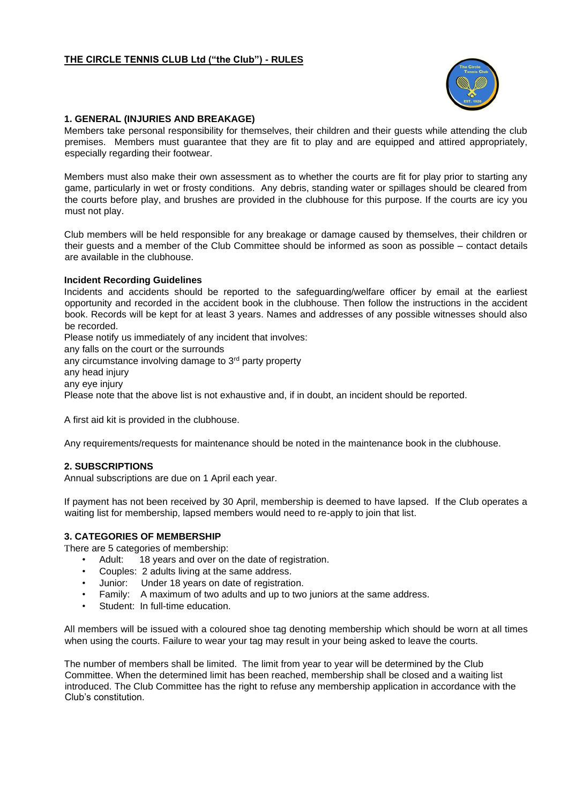

## **1. GENERAL (INJURIES AND BREAKAGE)**

Members take personal responsibility for themselves, their children and their guests while attending the club premises. Members must guarantee that they are fit to play and are equipped and attired appropriately, especially regarding their footwear.

Members must also make their own assessment as to whether the courts are fit for play prior to starting any game, particularly in wet or frosty conditions. Any debris, standing water or spillages should be cleared from the courts before play, and brushes are provided in the clubhouse for this purpose. If the courts are icy you must not play.

Club members will be held responsible for any breakage or damage caused by themselves, their children or their guests and a member of the Club Committee should be informed as soon as possible – contact details are available in the clubhouse.

## **Incident Recording Guidelines**

Incidents and accidents should be reported to the safeguarding/welfare officer by email at the earliest opportunity and recorded in the accident book in the clubhouse. Then follow the instructions in the accident book. Records will be kept for at least 3 years. Names and addresses of any possible witnesses should also be recorded.

Please notify us immediately of any incident that involves:

any falls on the court or the surrounds

any circumstance involving damage to 3<sup>rd</sup> party property

any head injury

any eye injury

Please note that the above list is not exhaustive and, if in doubt, an incident should be reported.

A first aid kit is provided in the clubhouse.

Any requirements/requests for maintenance should be noted in the maintenance book in the clubhouse.

## **2. SUBSCRIPTIONS**

Annual subscriptions are due on 1 April each year.

If payment has not been received by 30 April, membership is deemed to have lapsed. If the Club operates a waiting list for membership, lapsed members would need to re-apply to join that list.

## **3. CATEGORIES OF MEMBERSHIP**

There are 5 categories of membership:

- Adult: 18 years and over on the date of registration.
- Couples: 2 adults living at the same address.
- Junior: Under 18 years on date of registration.
- Family: A maximum of two adults and up to two juniors at the same address.
- Student: In full-time education.

All members will be issued with a coloured shoe tag denoting membership which should be worn at all times when using the courts. Failure to wear your tag may result in your being asked to leave the courts.

The number of members shall be limited. The limit from year to year will be determined by the Club Committee. When the determined limit has been reached, membership shall be closed and a waiting list introduced. The Club Committee has the right to refuse any membership application in accordance with the Club's constitution.